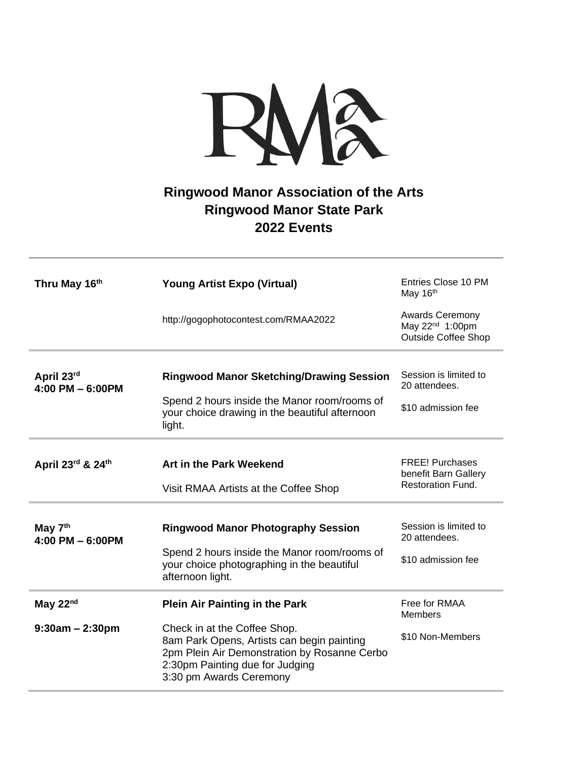

## **Ringwood Manor Association of the Arts Ringwood Manor State Park 2022 Events**

| Thru May 16th                             | <b>Young Artist Expo (Virtual)</b>                                                                                                                                                       | Entries Close 10 PM<br>May 16th                                                     |
|-------------------------------------------|------------------------------------------------------------------------------------------------------------------------------------------------------------------------------------------|-------------------------------------------------------------------------------------|
|                                           | http://gogophotocontest.com/RMAA2022                                                                                                                                                     | <b>Awards Ceremony</b><br>May 22 <sup>nd</sup> 1:00pm<br><b>Outside Coffee Shop</b> |
|                                           |                                                                                                                                                                                          |                                                                                     |
| April 23rd<br>4:00 PM $-$ 6:00PM          | <b>Ringwood Manor Sketching/Drawing Session</b>                                                                                                                                          | Session is limited to<br>20 attendees.                                              |
|                                           | Spend 2 hours inside the Manor room/rooms of<br>your choice drawing in the beautiful afternoon<br>light.                                                                                 | \$10 admission fee                                                                  |
|                                           |                                                                                                                                                                                          |                                                                                     |
| April 23rd & 24th                         | <b>Art in the Park Weekend</b>                                                                                                                                                           | <b>FREE! Purchases</b><br>benefit Barn Gallery                                      |
|                                           | Visit RMAA Artists at the Coffee Shop                                                                                                                                                    | <b>Restoration Fund.</b>                                                            |
|                                           |                                                                                                                                                                                          |                                                                                     |
| May 7 <sup>th</sup><br>4:00 PM $-$ 6:00PM | <b>Ringwood Manor Photography Session</b>                                                                                                                                                | Session is limited to<br>20 attendees.                                              |
|                                           | Spend 2 hours inside the Manor room/rooms of<br>your choice photographing in the beautiful<br>afternoon light.                                                                           | \$10 admission fee                                                                  |
| May $22nd$                                | <b>Plein Air Painting in the Park</b>                                                                                                                                                    | Free for RMAA<br><b>Members</b>                                                     |
| $9:30am - 2:30pm$                         | Check in at the Coffee Shop.<br>8am Park Opens, Artists can begin painting<br>2pm Plein Air Demonstration by Rosanne Cerbo<br>2:30pm Painting due for Judging<br>3:30 pm Awards Ceremony | \$10 Non-Members                                                                    |